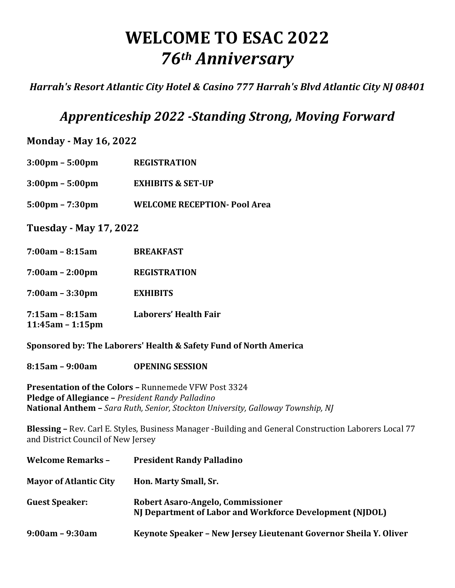# **WELCOME TO ESAC 2022** *76th Anniversary*

*Harrah's Resort Atlantic City Hotel & Casino 777 Harrah's Blvd Atlantic City NJ 08401* 

# *Apprenticeship 2022 -Standing Strong, Moving Forward*

**Monday - May 16, 2022**

- **3:00pm – 5:00pm REGISTRATION**
- **3:00pm – 5:00pm EXHIBITS & SET-UP**
- **5:00pm – 7:30pm WELCOME RECEPTION- Pool Area**

**Tuesday - May 17, 2022**

- **7:00am – 8:15am BREAKFAST**
- **7:00am – 2:00pm REGISTRATION**
- **7:00am – 3:30pm EXHIBITS**
- **7:15am – 8:15am Laborers' Health Fair 11:45am – 1:15pm**

**Sponsored by: The Laborers' Health & Safety Fund of North America** 

**8:15am – 9:00am OPENING SESSION**

**Presentation of the Colors - Runnemede VFW Post 3324 Pledge of Allegiance – President Randy Palladino National Anthem - Sara Ruth, Senior, Stockton University, Galloway Township, NJ** 

**Blessing** – Rev. Carl E. Styles, Business Manager -Building and General Construction Laborers Local 77 and District Council of New Jersey

| <b>Welcome Remarks -</b>      | <b>President Randy Palladino</b>                                                              |
|-------------------------------|-----------------------------------------------------------------------------------------------|
| <b>Mayor of Atlantic City</b> | Hon. Marty Small, Sr.                                                                         |
| <b>Guest Speaker:</b>         | Robert Asaro-Angelo, Commissioner<br>NJ Department of Labor and Workforce Development (NJDOL) |
| $9:00am - 9:30am$             | Keynote Speaker - New Jersey Lieutenant Governor Sheila Y. Oliver                             |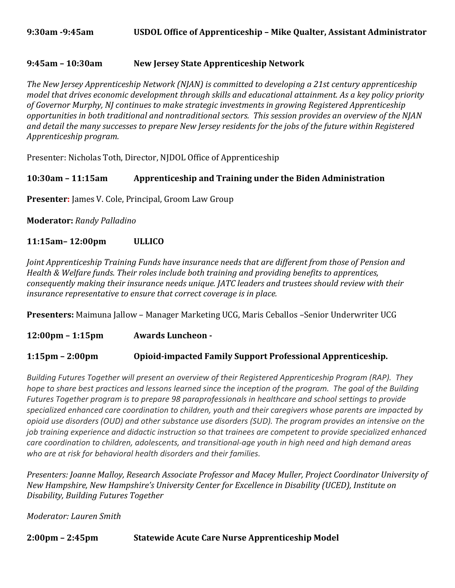#### **9:45am – 10:30am New Jersey State Apprenticeship Network**

The New Jersey Apprenticeship Network (NJAN) is committed to developing a 21st century apprenticeship *model that drives economic development through skills and educational attainment. As a key policy priority* of Governor Murphy, NJ continues to make strategic investments in growing Registered Apprenticeship *opportunities in both traditional and nontraditional sectors. This session provides an overview of the NJAN* and detail the many successes to prepare New Jersey residents for the jobs of the future within Registered *Apprenticeship program.*

Presenter: Nicholas Toth, Director, NJDOL Office of Apprenticeship

#### **10:30am - 11:15am** Apprenticeship and Training under the Biden Administration

**Presenter:** James V. Cole, Principal, Groom Law Group

**Moderator:** Randy Palladino

#### **11:15am– 12:00pm ULLICO**

*Joint Apprenticeship Training Funds have insurance needs that are different from those of Pension and Health & Welfare funds. Their roles include both training and providing benefits to apprentices, consequently making their insurance needs unique. JATC leaders and trustees should review with their insurance representative to ensure that correct coverage is in place.* 

**Presenters:** Maimuna Jallow - Manager Marketing UCG, Maris Ceballos -Senior Underwriter UCG

**12:00pm – 1:15pm Awards Luncheon -**

#### **1:15pm – 2:00pm Opioid-impacted Family Support Professional Apprenticeship.**

*Building* Futures Together will present an overview of their Registered Apprenticeship Program (RAP). They *hope to share best practices and lessons learned since the inception of the program. The goal of the Building Futures Together program* is to prepare 98 paraprofessionals in healthcare and school settings to provide specialized enhanced care coordination to children, youth and their caregivers whose parents are impacted by *opioid use disorders (OUD)* and other substance use disorders (SUD). The program provides an intensive on the *job* training experience and didactic instruction so that trainees are competent to provide specialized enhanced *care coordination to children, adolescents, and transitional-age youth in high need and high demand areas* who are at risk for behavioral health disorders and their families.

*Presenters: Joanne Malloy, Research Associate Professor and Macey Muller, Project Coordinator University of New Hampshire, New Hampshire's University Center for Excellence in Disability (UCED), Institute on Disability, Building Futures Together*

*Moderator: Lauren Smith* 

**2:00pm – 2:45pm Statewide Acute Care Nurse Apprenticeship Model**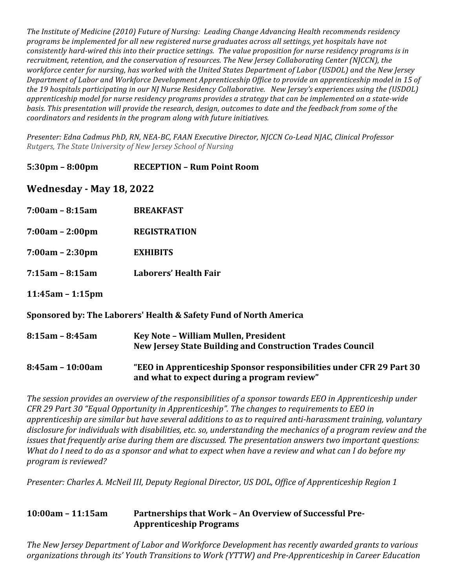The Institute of Medicine (2010) Future of Nursing: Leading Change Advancing Health recommends residency *programs* be implemented for all new registered nurse graduates across all settings, yet hospitals have not *consistently hard-wired this into their practice settings. The value proposition for nurse residency programs is in recruitment, retention, and the conservation of resources. The New Jersey Collaborating Center (NJCCN), the workforce center for nursing, has worked with the United States Department of Labor (USDOL)* and the New Jersey Department of Labor and Workforce Development Apprenticeship Office to provide an apprenticeship model in 15 of the 19 hospitals participating in our NJ Nurse Residency Collaborative. New Jersey's experiences using the (USDOL) *apprenticeship* model for nurse residency programs provides a strategy that can be implemented on a state-wide *basis.* This presentation will provide the research, design, outcomes to date and the feedback from some of the *coordinators and residents in the program along with future initiatives.* 

*Presenter: Edna Cadmus PhD, RN, NEA-BC, FAAN Executive Director, NJCCN Co-Lead NJAC, Clinical Professor Rutgers, The State University of New Jersey School of Nursing*

**5:30pm – 8:00pm RECEPTION – Rum Point Room**

**Wednesday - May 18, 2022**

- **7:00am – 8:15am BREAKFAST**
- **7:00am – 2:00pm REGISTRATION**
- **7:00am – 2:30pm EXHIBITS**
- **7:15am – 8:15am Laborers' Health Fair**

**11:45am – 1:15pm**

#### **Sponsored by: The Laborers' Health & Safety Fund of North America**

| $8:15$ am – $8:45$ am | Key Note - William Mullen, President<br>New Jersey State Building and Construction Trades Council |
|-----------------------|---------------------------------------------------------------------------------------------------|
| 8:45am - 10:00am      | "EEO in Apprenticeship Sponsor responsibilities under CFR 29 Part 30                              |

and what to expect during a program review"

The session provides an overview of the responsibilities of a sponsor towards *EEO* in Apprenticeship under *CFR* 29 Part 30 "Equal Opportunity in Apprenticeship". The changes to requirements to EEO in *apprenticeship* are similar but have several additions to as to required anti-harassment training, voluntary disclosure for individuals with disabilities, etc. so, understanding the mechanics of a program review and the *issues* that frequently arise during them are discussed. The presentation answers two important questions: *What do I need to do as a sponsor and what to expect when have a review and what can I do before my program is reviewed?*

*Presenter: Charles A. McNeil III, Deputy Regional Director, US DOL, Office of Apprenticeship Region 1* 

#### **10:00am - 11:15am** Partnerships that Work - An Overview of Successful Pre-**Apprenticeship Programs**

The New Jersey Department of Labor and Workforce Development has recently awarded grants to various organizations through its' Youth Transitions to Work (YTTW) and Pre-Apprenticeship in Career Education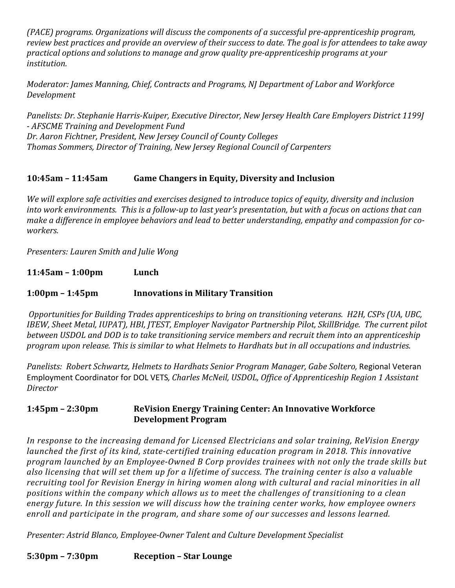*(PACE)* programs. Organizations will discuss the components of a successful pre-apprenticeship program, *review best practices and provide an overview of their success to date. The goal is for attendees to take away practical options and solutions to manage and grow quality pre-apprenticeship programs at your institution.*

*Moderator: James Manning, Chief, Contracts and Programs, NJ Department of Labor and Workforce Development*

Panelists: Dr. Stephanie Harris-Kuiper, Executive Director, New Jersey Health Care Employers District 1199J *- AFSCME Training and Development Fund Dr. Aaron Fichtner, President, New Jersey Council of County Colleges* **Thomas Sommers, Director of Training, New Jersey Regional Council of Carpenters** 

### **10:45am – 11:45am Game Changers in Equity, Diversity and Inclusion**

We will explore safe activities and exercises designed to introduce topics of equity, diversity and inclusion *into* work environments. This is a follow-up to last year's presentation, but with a focus on actions that can make a difference in employee behaviors and lead to better understanding, empathy and compassion for co*workers.*

*Presenters: Lauren Smith and Julie Wong*

**11:45am – 1:00pm Lunch**

#### **1:00pm – 1:45pm Innovations in Military Transition**

*Opportunities for Building Trades apprenticeships to bring on transitioning veterans. H2H, CSPs (UA, UBC, IBEW, Sheet Metal, IUPAT), HBI, JTEST, Employer Navigator Partnership Pilot, SkillBridge. The current pilot between USDOL* and DOD is to take transitioning service members and recruit them into an apprenticeship *program* upon *release.* This is similar to what Helmets to Hardhats but in all occupations and industries.

*Panelists: Robert Schwartz, Helmets to Hardhats Senior Program Manager, Gabe Soltero, Regional Veteran* Employment Coordinator for DOL VETS, *Charles McNeil, USDOL, Office of Apprenticeship Region 1 Assistant Director* 

#### **1:45pm – 2:30pm ReVision Energy Training Center: An Innovative Workforce Development Program**

*In response to the increasing demand for Licensed Electricians and solar training, ReVision Energy launched the first of its kind, state-certified training education program in 2018. This innovative program launched by an Employee-Owned B Corp provides trainees with not only the trade skills but* also licensing that will set them up for a lifetime of success. The training center is also a valuable *recruiting tool for Revision Energy in hiring women along with cultural and racial minorities in all* positions within the company which allows us to meet the challenges of transitioning to a clean energy future. In this session we will discuss how the training center works, how employee owners enroll and participate in the program, and share some of our successes and lessons learned.

*Presenter: Astrid Blanco, Employee-Owner Talent and Culture Development Specialist*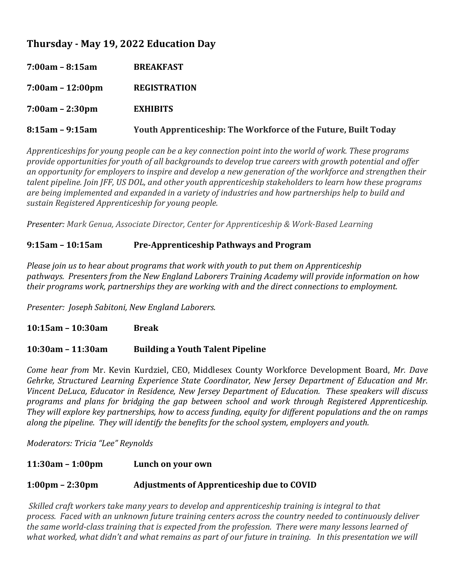# **Thursday - May 19, 2022 Education Day**

| $7:00am - 8:15am$     | <b>BREAKFAST</b>                                                      |
|-----------------------|-----------------------------------------------------------------------|
| $7:00am - 12:00pm$    | <b>REGISTRATION</b>                                                   |
| $7:00am - 2:30pm$     | <b>EXHIBITS</b>                                                       |
| $8:15$ am – $9:15$ am | <b>Youth Apprenticeship: The Workforce of the Future, Built Today</b> |

*Apprenticeships for young people can be a key connection point into the world of work. These programs provide opportunities for youth of all backgrounds to develop true careers with growth potential and offer* an opportunity for employers to inspire and develop a new generation of the workforce and strengthen their *talent pipeline. Join JFF, US DOL, and other youth apprenticeship stakeholders to learn how these programs* are being implemented and expanded in a variety of industries and how partnerships help to build and *sustain Registered Apprenticeship for young people.*

*Presenter: Mark Genua, Associate Director, Center for Apprenticeship & Work-Based Learning* 

#### **9:15am – 10:15am Pre-Apprenticeship Pathways and Program**

*Please join us to hear about programs that work with youth to put them on Apprenticeship* pathways. Presenters from the New England Laborers Training Academy will provide information on how *their programs work, partnerships they are working with and the direct connections to employment.* 

*Presenter: Joseph Sabitoni, New England Laborers.*

**10:15am – 10:30am Break**

#### **10:30am – 11:30am Building a Youth Talent Pipeline**

*Come hear from Mr. Kevin Kurdziel, CEO, Middlesex County Workforce Development Board, Mr. Dave Gehrke, Structured Learning Experience State Coordinator, New Jersey Department of Education and Mr. Vincent DeLuca, Educator in Residence, New Jersey Department of Education. These speakers will discuss programs and plans for bridging the gap between school and work through Registered Apprenticeship. They* will explore key partnerships, how to access funding, equity for different populations and the on ramps *along the pipeline. They will identify the benefits for the school system, employers and youth.* 

*Moderators: Tricia "Lee" Reynolds*

#### **11:30am – 1:00pm** Lunch on your own

#### **1:00pm – 2:30pm** Adjustments of Apprenticeship due to COVID

*Skilled craft workers take many years to develop and apprenticeship training is integral to that process.* Faced with an unknown future training centers across the country needed to continuously deliver the same world-class training that is expected from the profession. There were many lessons learned of what worked, what didn't and what remains as part of our future in training. In this presentation we will